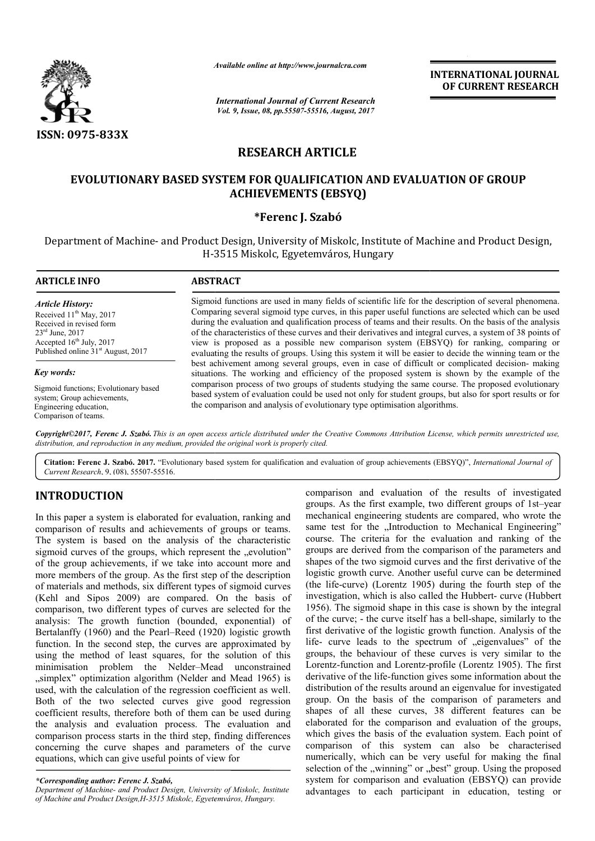

*Available online at http://www.journal*

# **RESEARCH ARTICLE**

# **EVOLUTIONARY BASED SYSTEM FOR QUALIFICATION AND EVALUATION OF GROUP ACHIEVEMENTS (EBSYQ)**

## **\*Ferenc J. Szabó**

|                                                                                                                                                                                                         | Available online at http://www.journalcra.com<br><b>International Journal of Current Research</b><br>Vol. 9, Issue, 08, pp.55507-55516, August, 2017                                                                                                                                                                                                                                                                                                                                                                                                                                                                                          | <b>INTERNATIONAL JOURNAL</b><br>OF CURRENT RESEARCH |  |  |  |
|---------------------------------------------------------------------------------------------------------------------------------------------------------------------------------------------------------|-----------------------------------------------------------------------------------------------------------------------------------------------------------------------------------------------------------------------------------------------------------------------------------------------------------------------------------------------------------------------------------------------------------------------------------------------------------------------------------------------------------------------------------------------------------------------------------------------------------------------------------------------|-----------------------------------------------------|--|--|--|
| ISSN: 0975-833X                                                                                                                                                                                         |                                                                                                                                                                                                                                                                                                                                                                                                                                                                                                                                                                                                                                               |                                                     |  |  |  |
|                                                                                                                                                                                                         | <b>RESEARCH ARTICLE</b>                                                                                                                                                                                                                                                                                                                                                                                                                                                                                                                                                                                                                       |                                                     |  |  |  |
|                                                                                                                                                                                                         | EVOLUTIONARY BASED SYSTEM FOR QUALIFICATION AND EVALUATION OF GROUP<br><b>ACHIEVEMENTS (EBSYQ)</b>                                                                                                                                                                                                                                                                                                                                                                                                                                                                                                                                            |                                                     |  |  |  |
|                                                                                                                                                                                                         | *Ferenc J. Szabó                                                                                                                                                                                                                                                                                                                                                                                                                                                                                                                                                                                                                              |                                                     |  |  |  |
|                                                                                                                                                                                                         | Department of Machine- and Product Design, University of Miskolc, Institute of Machine and Product Design,<br>H-3515 Miskolc, Egyetemváros, Hungary                                                                                                                                                                                                                                                                                                                                                                                                                                                                                           |                                                     |  |  |  |
| <b>ARTICLE INFO</b>                                                                                                                                                                                     | <b>ABSTRACT</b>                                                                                                                                                                                                                                                                                                                                                                                                                                                                                                                                                                                                                               |                                                     |  |  |  |
| <b>Article History:</b><br>Received 11 <sup>th</sup> May, 2017<br>Received in revised form<br>$23^{\text{rd}}$ June, 2017<br>Accepted 16th July, 2017<br>Published online 31 <sup>st</sup> August, 2017 | Sigmoid functions are used in many fields of scientific life for the description of several phenomena.<br>Comparing several sigmoid type curves, in this paper useful functions are selected which can be used<br>during the evaluation and qualification process of teams and their results. On the basis of the analysis<br>of the characteristics of these curves and their derivatives and integral curves, a system of 38 points of<br>view is proposed as a possible new comparison system (EBSYQ) for ranking, comparing or<br>evaluating the results of groups. Using this system it will be easier to decide the winning team or the |                                                     |  |  |  |
| Key words:                                                                                                                                                                                              | best achivement among several groups, even in case of difficult or complicated decision- making<br>situations. The working and efficiency of the proposed system is shown by the example of the                                                                                                                                                                                                                                                                                                                                                                                                                                               |                                                     |  |  |  |
| Sigmoid functions; Evolutionary based<br>system; Group achievements,<br>Engineering education,<br>Comparison of teams.                                                                                  | comparison process of two groups of students studying the same course. The proposed evolutionary<br>based system of evaluation could be used not only for student groups, but also for sport results or for<br>the comparison and analysis of evolutionary type optimisation algorithms.                                                                                                                                                                                                                                                                                                                                                      |                                                     |  |  |  |
|                                                                                                                                                                                                         | Copyright©2017, Ferenc J. Szabó. This is an open access article distributed under the Creative Commons Attribution License, which permits unrestricted use,<br>distribution, and reproduction in any medium, provided the original work is properly cited.                                                                                                                                                                                                                                                                                                                                                                                    |                                                     |  |  |  |
|                                                                                                                                                                                                         | Citation: Ferenc J. Szabó. 2017. "Evolutionary based system for qualification and evaluation of group achievements (EBSYQ)", International Journal of                                                                                                                                                                                                                                                                                                                                                                                                                                                                                         |                                                     |  |  |  |

Citation: Ferenc J. Szabó. 2017. "Evolutionary based system for qualification and evaluation of group achievements (EBSYQ)", *International Journal of Current Research*, 9, (08), 55507-55516.

## **INTRODUCTION**

In this paper a system is elaborated for evaluation, ranking and comparison of results and achievements of groups or teams. The system is based on the analysis of the characteristic sigmoid curves of the groups, which represent the "evolution" of the group achievements, if we take into account more and more members of the group. As the first step of the description of materials and methods, six different types of sigmoid curves (Kehl and Sipos 2009) are compared. On the basis of comparison, two different types of curves are selected for the analysis: The growth function (bounded, exponential) of Bertalanffy (1960) and the Pearl–Reed (1920) logistic growth function. In the second step, the curves are approximated by using the method of least squares, for the solution of this minimisation problem the Nelder–Mead unconstrained "simplex" optimization algorithm (Nelder and Mead 1965) is used, with the calculation of the regression coefficient as well. Both of the two selected curves give good regression coefficient results, therefore both of them can be used during the analysis and evaluation process. The evaluation and comparison process starts in the third step, finding differences concerning the curve shapes and parameters of the curve equations, which can give useful points of view for premet types of sigmoid curves<br>ompared. On the basis of<br>f curves are selected for the<br>(bounded, exponential) of<br>Reed (1920) logistic growth m the Nelder-Mead<br>ion of the regression coe<br>elected curves give g<br>refore both of them can<br>aluation process. The<br>arts in the third step, fin

*Department of Machine- and Product Design, University of Miskolc, Institute of Machine and Product Design,H-3515 Miskolc, Egyetemváros, Hungary 3515 Hungary.*

comparison and evaluation of the results of investigated comparison and evaluation of the results of investigated groups. As the first example, two different groups of 1st–year mechanical engineering students are compared, who wrote the same test for the "Introduction to Mechanical Engineering" course. The criteria for the evaluation and ranking of the groups are derived from the comparison of the parameters and shapes of the two sigmoid curves and the first derivative of the logistic growth curve. Another useful curve can be determined (the life-curve) (Lorentz 1905) during the fourth step of the logistic growth curve. Another useful curve can be determined (the life-curve) (Lorentz 1905) during the fourth step of the investigation, which is also called the Hubbert- curve (Hubbert 1956). The sigmoid shape in this case is shown by the integral of the curve; - the curve itself has a bell-shape, similarly to the first derivative of the logistic growth function. Analysis of the life- curve leads to the spectrum of "eigenvalues" of the groups, the behaviour of these curves is very similar Lorentz-function and Lorentz-profile (Lorentz 1905). The first derivative of the life-function gives some information about the distribution of the results around an eigenvalue for investigated group. On the basis of the comparison of parameters an shapes of all these curves, 38 different features can be elaborated for the comparison and evaluation of the groups, which gives the basis of the evaluation system. Each point of comparison of this system can also be characterised numerically, which can be very useful for making the final selection of the "winning" or "best" group. Using the proposed system for comparison and evaluation (EBSYQ) can provide advantages to each participant in education, testing or The criteria for the evaluation and ranking of the are derived from the comparison of the parameters and of the two sigmoid curves and the first derivative of the first derivative of the logistic growth function. Analysis of the life-curve leads to the spectrum of "eigenvalues" of the groups, the behaviour of these curves is very similar to the profile (Lorentz 1905). The first<br>f the life-function gives some information about the<br>of the results around an eigenvalue for investigated<br>the basis of the comparison of parameters and of all these curves, 38 different features can be<br>ed for the comparison and evaluation of the groups,<br>ives the basis of the evaluation system. Each point of<br>son of this system can also be characterised<br>ally, which can be v **INTERNATIONAL JOURNAL**<br> **OF CURRENT RESEARCH**<br> **OF CURRENT RESEARCH**<br> **OF CURRENT RESEARCH**<br> **Example 10** and Product Design,<br>
the description of several phenomena<br>
trivensils. On the basis of the analysis of<br>
Egral curv

*<sup>\*</sup>Corresponding author: Ferenc J. Szabó,*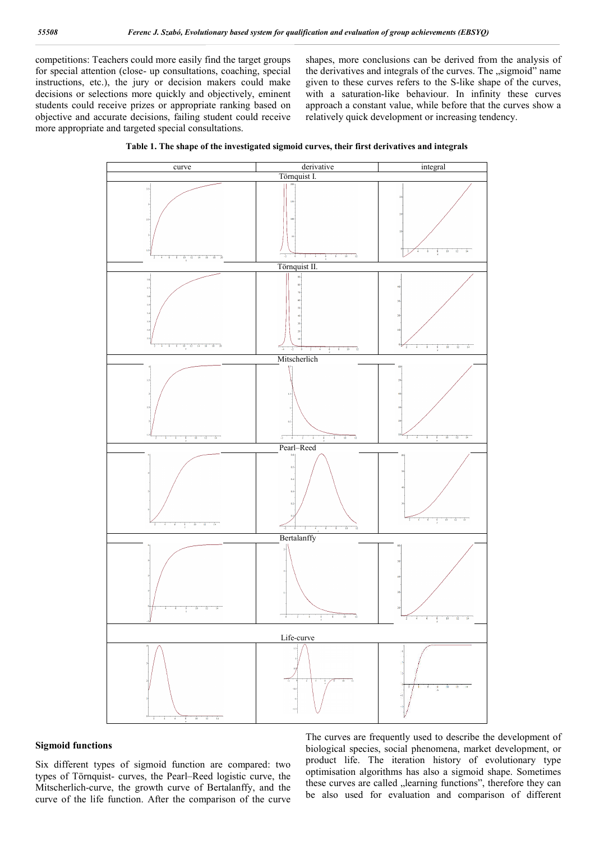competitions: Teachers could more easily find the target groups for special attention (close- up consultations, coaching, special instructions, etc.), the jury or decision makers could make decisions or selections more quickly and objectively, eminent students could receive prizes or appropriate ranking based on objective and accurate decisions, failing student could receive more appropriate and targeted special consultations.

shapes, more conclusions can be derived from the analysis of the derivatives and integrals of the curves. The "sigmoid" name given to these curves refers to the S-like shape of the curves, with a saturation-like behaviour. In infinity these curves approach a constant value, while before that the curves show a relatively quick development or increasing tendency.





#### **Sigmoid functions**

Six different types of sigmoid function are compared: two types of Törnquist- curves, the Pearl–Reed logistic curve, the Mitscherlich-curve, the growth curve of Bertalanffy, and the curve of the life function. After the comparison of the curve

The curves are frequently used to describe the development of biological species, social phenomena, market development, or product life. The iteration history of evolutionary type optimisation algorithms has also a sigmoid shape. Sometimes these curves are called "learning functions", therefore they can be also used for evaluation and comparison of different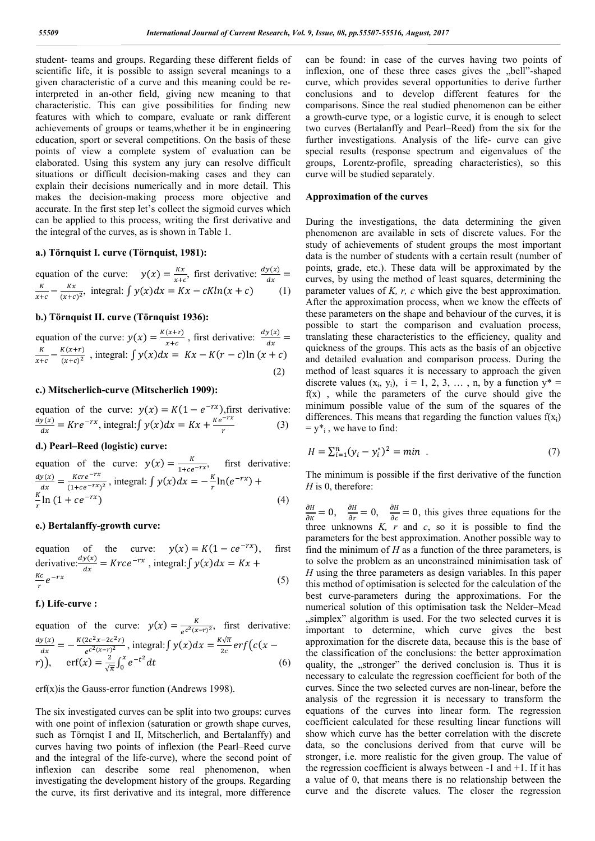student- teams and groups. Regarding these different fields of scientific life, it is possible to assign several meanings to a given characteristic of a curve and this meaning could be reinterpreted in an-other field, giving new meaning to that characteristic. This can give possibilities for finding new features with which to compare, evaluate or rank different achievements of groups or teams,whether it be in engineering education, sport or several competitions. On the basis of these points of view a complete system of evaluation can be elaborated. Using this system any jury can resolve difficult situations or difficult decision-making cases and they can explain their decisions numerically and in more detail. This makes the decision-making process more objective and accurate. In the first step let's collect the sigmoid curves which can be applied to this process, writing the first derivative and the integral of the curves, as is shown in Table 1.

#### **a.) Törnquist I. curve (Törnquist, 1981):**

equation of the curve:  $y(x) = \frac{Kx}{x+c}$ , first derivative:  $\frac{dy(x)}{dx} = \frac{K}{x+c} - \frac{Kx}{(x+c)^2}$ , integral:  $\int y(x) dx = Kx - cK\ln(x + c)$  (1)

### **b.) Törnquist II. curve (Törnquist 1936):**

equation of the curve:  $y(x) = \frac{K(x+r)}{x+c}$ , first derivative:  $\frac{dy(x)}{dx} = \frac{K}{x+c} - \frac{K(x+r)}{(x+c)^2}$ , integral:  $\int y(x)dx = Kx - K(r - c)\ln(x + c)$ (2)

## **c.) Mitscherlich-curve (Mitscherlich 1909):**

equation of the curve:  $y(x) = K(1 - e^{-rx})$ , first derivative:  $\frac{dy(x)}{dx} = Kre^{-rx}$ , integral: $\int y(x)dx = Kx + \frac{Ke^{-rx}}{r}$  (3)

## **d.) Pearl–Reed (logistic) curve:**

equation of the curve:  $y(x) = \frac{k}{1 + ce^{-rx}}$ , first derivative:  $rac{dy(x)}{dx} = \frac{Kcre^{-rx}}{(1+ce^{-rx})^2}$ , integral:  $\int y(x)dx = -\frac{K}{r}\ln(e^{-rx}) + \frac{K}{r}\ln(1+ce^{-rx})$  (4)

## **e.) Bertalanffy-growth curve:**

equation of the curve:  $y(x) = K(1 - ce^{-rx})$ , first derivative: $\frac{dy(x)}{dx} = Krce^{-rx}$ , integral:  $\int y(x)dx = Kx +$  $\frac{Kc}{r}e^{-rx}$  $\frac{cc}{r}e^{-rx}$  (5)

#### **f.) Life-curve :**

equation of the curve:  $y(x) = \frac{K}{e^{c^2(x-r)^2}}$ , first derivative:  $\frac{dy(x)}{dx} = -\frac{K(2c^2x - 2c^2r)}{e^{c^2(x - r)^2}}$ , integral:  $\int y(x) dx = \frac{K\sqrt{\pi}}{2c} erf(c(x - r)^2)$  $(r)$ ),  $erf(x) = \frac{2}{\sqrt{\pi}} \int_0^x e^{-t^2} dt$  (6)

erf(x)is the Gauss-error function (Andrews 1998).

The six investigated curves can be split into two groups: curves with one point of inflexion (saturation or growth shape curves, such as Törnqist I and II, Mitscherlich, and Bertalanffy) and curves having two points of inflexion (the Pearl–Reed curve and the integral of the life-curve), where the second point of inflexion can describe some real phenomenon, when investigating the development history of the groups. Regarding the curve, its first derivative and its integral, more difference

can be found: in case of the curves having two points of inflexion, one of these three cases gives the "bell"-shaped curve, which provides several opportunities to derive further conclusions and to develop different features for the comparisons. Since the real studied phenomenon can be either a growth-curve type, or a logistic curve, it is enough to select two curves (Bertalanffy and Pearl–Reed) from the six for the further investigations. Analysis of the life- curve can give special results (response spectrum and eigenvalues of the groups, Lorentz-profile, spreading characteristics), so this curve will be studied separately.

### **Approximation of the curves**

During the investigations, the data determining the given phenomenon are available in sets of discrete values. For the study of achievements of student groups the most important data is the number of students with a certain result (number of points, grade, etc.). These data will be approximated by the curves, by using the method of least squares, determining the parameter values of *K, r, c* which give the best approximation. After the approximation process, when we know the effects of these parameters on the shape and behaviour of the curves, it is possible to start the comparison and evaluation process, translating these characteristics to the efficiency, quality and quickness of the groups. This acts as the basis of an objective and detailed evaluation and comparison process. During the method of least squares it is necessary to approach the given discrete values  $(x_i, y_i)$ ,  $i = 1, 2, 3, \ldots, n$ , by a function  $y^* =$  $f(x)$ , while the parameters of the curve should give the minimum possible value of the sum of the squares of the differences. This means that regarding the function values  $f(x_i)$  $= y^*$ <sub>i</sub>, we have to find:

$$
H = \sum_{i=1}^{n} (y_i - y_i^*)^2 = \min . \tag{7}
$$

The minimum is possible if the first derivative of the function *H* is 0, therefore:

 $\frac{\partial H}{\partial K} = 0$ ,  $\frac{\partial H}{\partial r} = 0$ ,  $\frac{\partial H}{\partial c} = 0$ , this gives three equations for the three unknowns *K, r* and *c*, so it is possible to find the parameters for the best approximation. Another possible way to find the minimum of *H* as a function of the three parameters, is to solve the problem as an unconstrained minimisation task of *H* using the three parameters as design variables. In this paper this method of optimisation is selected for the calculation of the best curve-parameters during the approximations. For the numerical solution of this optimisation task the Nelder–Mead  $\mu$ simplex" algorithm is used. For the two selected curves it is important to determine, which curve gives the best approximation for the discrete data, because this is the base of the classification of the conclusions: the better approximation quality, the "stronger" the derived conclusion is. Thus it is necessary to calculate the regression coefficient for both of the curves. Since the two selected curves are non-linear, before the analysis of the regression it is necessary to transform the equations of the curves into linear form. The regression coefficient calculated for these resulting linear functions will show which curve has the better correlation with the discrete data, so the conclusions derived from that curve will be stronger, i.e. more realistic for the given group. The value of the regression coefficient is always between  $-1$  and  $+1$ . If it has a value of 0, that means there is no relationship between the curve and the discrete values. The closer the regression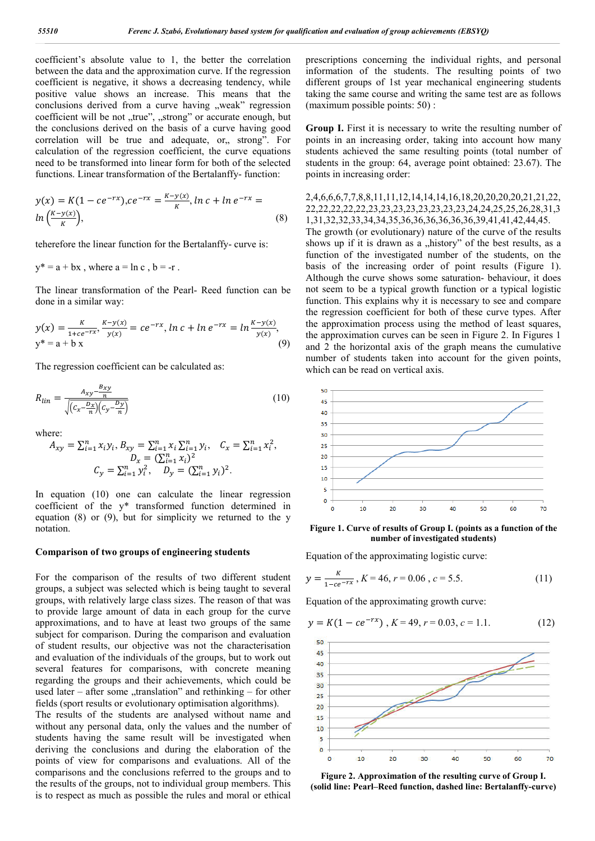coefficient's absolute value to 1, the better the correlation between the data and the approximation curve. If the regression coefficient is negative, it shows a decreasing tendency, while positive value shows an increase. This means that the conclusions derived from a curve having "weak" regression coefficient will be not "true", "strong" or accurate enough, but the conclusions derived on the basis of a curve having good correlation will be true and adequate, or, strong". For calculation of the regression coefficient, the curve equations need to be transformed into linear form for both of the selected functions. Linear transformation of the Bertalanffy- function:

$$
y(x) = K(1 - ce^{-rx}), ce^{-rx} = \frac{K - y(x)}{K}, \ln c + \ln e^{-rx} = \ln\left(\frac{K - y(x)}{K}\right),
$$
\n(8)

teherefore the linear function for the Bertalanffy- curve is:

$$
y^* = a + bx
$$
, where  $a = \ln c$ ,  $b = -r$ .

The linear transformation of the Pearl- Reed function can be done in a similar way:

$$
y(x) = \frac{K}{1 + ce^{-rx}}, \frac{K - y(x)}{y(x)} = ce^{-rx}, \ln c + \ln e^{-rx} = \ln \frac{K - y(x)}{y(x)},
$$
  

$$
y^* = a + b x
$$
 (9)

The regression coefficient can be calculated as:

$$
R_{lin} = \frac{A_{xy} - \frac{B_{xy}}{n}}{\sqrt{\left(c_x - \frac{D_x}{n}\right)\left(c_y - \frac{D_y}{n}\right)}}
$$
(10)

where:

$$
A_{xy} = \sum_{i=1}^{n} x_i y_i, B_{xy} = \sum_{i=1}^{n} x_i \sum_{i=1}^{n} y_i, C_x = \sum_{i=1}^{n} x_i^2,
$$
  

$$
D_x = (\sum_{i=1}^{n} x_i)^2
$$
  

$$
C_y = \sum_{i=1}^{n} y_i^2, D_y = (\sum_{i=1}^{n} y_i)^2.
$$

In equation (10) one can calculate the linear regression coefficient of the y\* transformed function determined in equation (8) or (9), but for simplicity we returned to the y notation.

### **Comparison of two groups of engineering students**

For the comparison of the results of two different student groups, a subject was selected which is being taught to several groups, with relatively large class sizes. The reason of that was to provide large amount of data in each group for the curve approximations, and to have at least two groups of the same subject for comparison. During the comparison and evaluation of student results, our objective was not the characterisation and evaluation of the individuals of the groups, but to work out several features for comparisons, with concrete meaning regarding the groups and their achievements, which could be used later – after some "translation" and rethinking – for other fields (sport results or evolutionary optimisation algorithms).

The results of the students are analysed without name and without any personal data, only the values and the number of students having the same result will be investigated when deriving the conclusions and during the elaboration of the points of view for comparisons and evaluations. All of the comparisons and the conclusions referred to the groups and to the results of the groups, not to individual group members. This is to respect as much as possible the rules and moral or ethical

prescriptions concerning the individual rights, and personal information of the students. The resulting points of two different groups of 1st year mechanical engineering students taking the same course and writing the same test are as follows (maximum possible points: 50) :

**Group I.** First it is necessary to write the resulting number of points in an increasing order, taking into account how many students achieved the same resulting points (total number of students in the group: 64, average point obtained: 23.67). The points in increasing order:

2,4,6,6,6,7,7,8,8,11,11,12,14,14,14,16,18,20,20,20,20,21,21,22, 22,22,22,22,22,23,23,23,23,23,23,23,23,24,24,25,25,26,28,31,3 1,31,32,32,33,34,34,35,36,36,36,36,36,36,39,41,41,42,44,45. The growth (or evolutionary) nature of the curve of the results shows up if it is drawn as a "history" of the best results, as a function of the investigated number of the students, on the basis of the increasing order of point results (Figure 1). Although the curve shows some saturation- behaviour, it does not seem to be a typical growth function or a typical logistic function. This explains why it is necessary to see and compare the regression coefficient for both of these curve types. After the approximation process using the method of least squares, the approximation curves can be seen in Figure 2. In Figures 1 and 2 the horizontal axis of the graph means the cumulative number of students taken into account for the given points, which can be read on vertical axis.



**Figure 1. Curve of results of Group I. (points as a function of the number of investigated students)**

Equation of the approximating logistic curve:

$$
y = \frac{\kappa}{1 - ce^{-rx}}, K = 46, r = 0.06, c = 5.5.
$$
 (11)

Equation of the approximating growth curve:

$$
y = K(1 - ce^{-rx}), K = 49, r = 0.03, c = 1.1.
$$
 (12)



**Figure 2. Approximation of the resulting curve of Group I. (solid line: Pearl–Reed function, dashed line: Bertalanffy-curve)**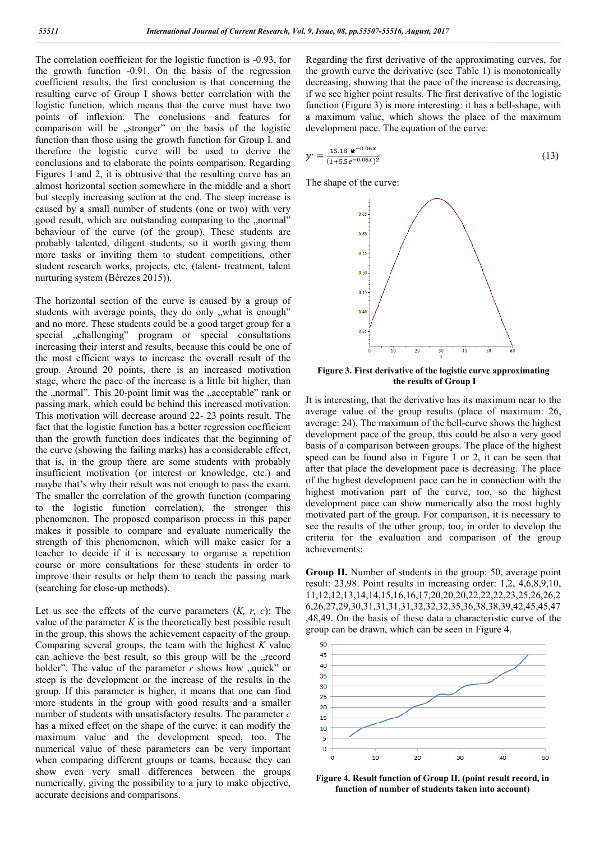The correlation coefficient for the logistic function is -0.93, for the growth function -0.91. On the basis of the regression coefficient results, the first conclusion is that concerning the resulting curve of Group I shows better correlation with the logistic function, which means that the curve must have two points of inflexion. The conclusions and features for comparison will be "stronger" on the basis of the logistic function than those using the growth function for Group I. and therefore the logistic curve will be used to derive the conclusions and to elaborate the points comparison. Regarding Figures 1 and 2, it is obtrusive that the resulting curve has an almost horizontal section somewhere in the middle and a short but steeply increasing section at the end. The steep increase is caused by a small number of students (one or two) with very good result, which are outstanding comparing to the "normal" behaviour of the curve (of the group). These students are probably talented, diligent students, so it worth giving them more tasks or inviting them to student competitions, other student research works, projects, etc. (talent- treatment, talent nurturing system (Bérczes 2015)).

The horizontal section of the curve is caused by a group of students with average points, they do only "what is enough" and no more. These students could be a good target group for a special "challenging" program or special consultations increasing their interst and results, because this could be one of the most efficient ways to increase the overall result of the group. Around 20 points, there is an increased motivation stage, where the pace of the increase is a little bit higher, than the "normal". This 20-point limit was the "acceptable" rank or passing mark, which could be behind this increased motivation. This motivation will decrease around 22- 23 points result. The fact that the logistic function has a better regression coefficient than the growth function does indicates that the beginning of the curve (showing the failing marks) has a considerable effect, that is, in the group there are some students with probably insufficient motivation (or interest or knowledge, etc.) and maybe that's why their result was not enough to pass the exam. The smaller the correlation of the growth function (comparing to the logistic function correlation), the stronger this phenomenon. The proposed comparison process in this paper makes it possible to compare and evaluate numerically the strength of this phenomenon, which will make easier for a teacher to decide if it is necessary to organise a repetition course or more consultations for these students in order to improve their results or help them to reach the passing mark (searching for close-up methods).

Let us see the effects of the curve parameters (*K, r, c*): The value of the parameter  $K$  is the theoretically best possible result in the group, this shows the achievement capacity of the group. Comparing several groups, the team with the highest *K* value can achieve the best result, so this group will be the "record holder". The value of the parameter  $r$  shows how  $\alpha$ , quick" or steep is the development or the increase of the results in the group. If this parameter is higher, it means that one can find more students in the group with good results and a smaller number of students with unsatisfactory results. The parameter *c* has a mixed effect on the shape of the curve: it can modify the maximum value and the development speed, too. The numerical value of these parameters can be very important when comparing different groups or teams, because they can show even very small differences between the groups numerically, giving the possibility to a jury to make objective, accurate decisions and comparisons.

Regarding the first derivative of the approximating curves, for the growth curve the derivative (see Table 1) is monotonically decreasing, showing that the pace of the increase is decreasing, if we see higher point results. The first derivative of the logistic function (Figure 3) is more interesting: it has a bell-shape, with a maximum value, which shows the place of the maximum development pace. The equation of the curve:

$$
y' = \frac{15.180e^{-0.06x}}{(1+5.5e^{-0.06x})^2}
$$
 (13)

The shape of the curve:



**Figure 3. First derivative of the logistic curve approximating the results of Group I**

It is interesting, that the derivative has its maximum near to the average value of the group results (place of maximum: 26, average: 24). The maximum of the bell-curve shows the highest development pace of the group, this could be also a very good basis of a comparison between groups. The place of the highest speed can be found also in Figure 1 or 2, it can be seen that after that place the development pace is decreasing. The place of the highest development pace can be in connection with the highest motivation part of the curve, too, so the highest development pace can show numerically also the most highly motivated part of the group. For comparison, it is necessary to see the results of the other group, too, in order to develop the criteria for the evaluation and comparison of the group achievements:

**Group II.** Number of students in the group: 50, average point result: 23.98. Point results in increasing order: 1,2, 4,6,8,9,10, 11,12,12,13,14,14,15,16,16,17,20,20,20,22,22,22,23,25,26,26,2 6,26,27,29,30,31,31,31,31,32,32,32,35,36,38,38,39,42,45,45,47 ,48,49. On the basis of these data a characteristic curve of the group can be drawn, which can be seen in Figure 4.



**Figure 4. Result function of Group II. (point result record, in function of number of students taken into account)**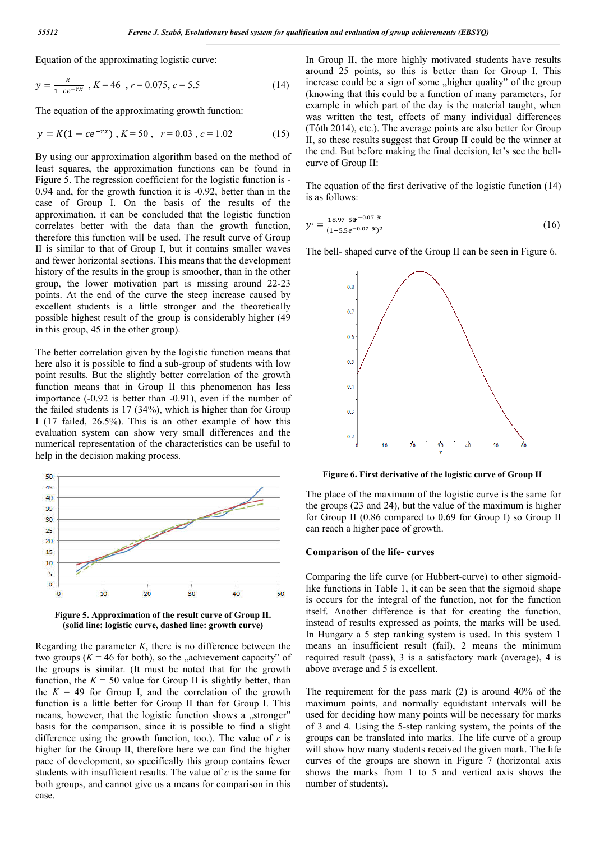Equation of the approximating logistic curve:

$$
y = \frac{\kappa}{1 - ce^{-rx}}, K = 46, r = 0.075, c = 5.5
$$
 (14)

The equation of the approximating growth function:

$$
y = K(1 - ce^{-rx}), K = 50, r = 0.03, c = 1.02
$$
 (15)

By using our approximation algorithm based on the method of least squares, the approximation functions can be found in Figure 5. The regression coefficient for the logistic function is - 0.94 and, for the growth function it is -0.92, better than in the case of Group I. On the basis of the results of the approximation, it can be concluded that the logistic function correlates better with the data than the growth function, therefore this function will be used. The result curve of Group II is similar to that of Group I, but it contains smaller waves and fewer horizontal sections. This means that the development history of the results in the group is smoother, than in the other group, the lower motivation part is missing around 22-23 points. At the end of the curve the steep increase caused by excellent students is a little stronger and the theoretically possible highest result of the group is considerably higher (49 in this group, 45 in the other group).

The better correlation given by the logistic function means that here also it is possible to find a sub-group of students with low point results. But the slightly better correlation of the growth function means that in Group II this phenomenon has less importance (-0.92 is better than -0.91), even if the number of the failed students is 17 (34%), which is higher than for Group I (17 failed, 26.5%). This is an other example of how this evaluation system can show very small differences and the numerical representation of the characteristics can be useful to help in the decision making process.



**Figure 5. Approximation of the result curve of Group II. (solid line: logistic curve, dashed line: growth curve)**

Regarding the parameter *K*, there is no difference between the two groups  $(K = 46$  for both), so the "achievement capacity" of the groups is similar. (It must be noted that for the growth function, the  $K = 50$  value for Group II is slightly better, than the  $K = 49$  for Group I, and the correlation of the growth function is a little better for Group II than for Group I. This means, however, that the logistic function shows a "stronger" basis for the comparison, since it is possible to find a slight difference using the growth function, too.). The value of  $r$  is higher for the Group II, therefore here we can find the higher pace of development, so specifically this group contains fewer students with insufficient results. The value of *c* is the same for both groups, and cannot give us a means for comparison in this case.

In Group II, the more highly motivated students have results around 25 points, so this is better than for Group I. This increase could be a sign of some "higher quality" of the group (knowing that this could be a function of many parameters, for example in which part of the day is the material taught, when was written the test, effects of many individual differences (Tóth 2014), etc.). The average points are also better for Group II, so these results suggest that Group II could be the winner at the end. But before making the final decision, let's see the bellcurve of Group II:

The equation of the first derivative of the logistic function (14) is as follows:

$$
y' = \frac{18.9750e^{-0.075x}}{(1+5.5e^{-0.075x})^2}
$$
 (16)

The bell- shaped curve of the Group II can be seen in Figure 6.



**Figure 6. First derivative of the logistic curve of Group II**

The place of the maximum of the logistic curve is the same for the groups (23 and 24), but the value of the maximum is higher for Group II (0.86 compared to 0.69 for Group I) so Group II can reach a higher pace of growth.

### **Comparison of the life- curves**

Comparing the life curve (or Hubbert-curve) to other sigmoidlike functions in Table 1, it can be seen that the sigmoid shape is occurs for the integral of the function, not for the function itself. Another difference is that for creating the function, instead of results expressed as points, the marks will be used. In Hungary a 5 step ranking system is used. In this system 1 means an insufficient result (fail), 2 means the minimum required result (pass), 3 is a satisfactory mark (average), 4 is above average and 5 is excellent.

The requirement for the pass mark (2) is around 40% of the maximum points, and normally equidistant intervals will be used for deciding how many points will be necessary for marks of 3 and 4. Using the 5-step ranking system, the points of the groups can be translated into marks. The life curve of a group will show how many students received the given mark. The life curves of the groups are shown in Figure 7 (horizontal axis shows the marks from 1 to 5 and vertical axis shows the number of students).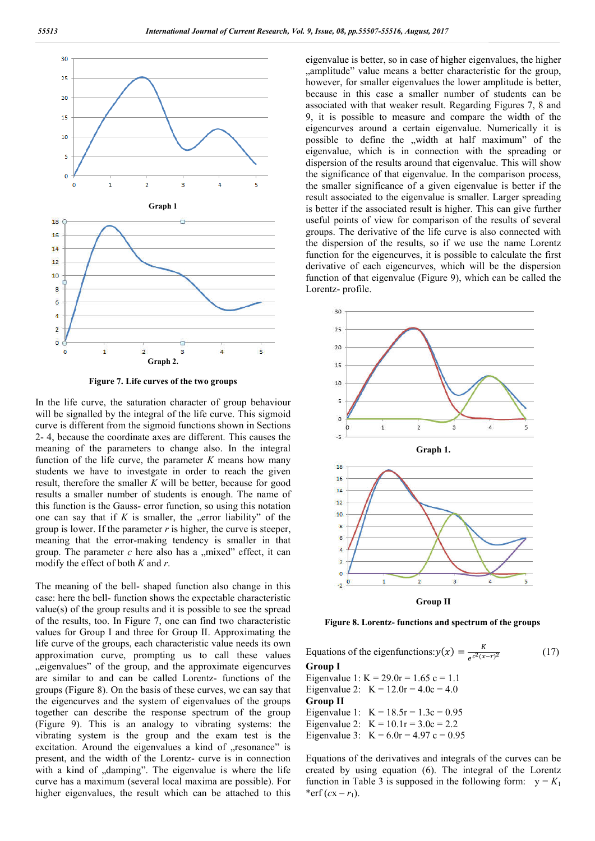

**Figure 7. Life curves of the two groups**

In the life curve, the saturation character of group behaviour will be signalled by the integral of the life curve. This sigmoid curve is different from the sigmoid functions shown in Sections 2- 4, because the coordinate axes are different. This causes the meaning of the parameters to change also. In the integral function of the life curve, the parameter *K* means how many students we have to investgate in order to reach the given result, therefore the smaller *K* will be better, because for good results a smaller number of students is enough. The name of this function is the Gauss- error function, so using this notation one can say that if  $K$  is smaller, the "error liability" of the group is lower. If the parameter  $r$  is higher, the curve is steeper, meaning that the error-making tendency is smaller in that group. The parameter  $c$  here also has a  $\mu$  mixed" effect, it can modify the effect of both *K* and *r*.

The meaning of the bell- shaped function also change in this case: here the bell- function shows the expectable characteristic value(s) of the group results and it is possible to see the spread of the results, too. In Figure 7, one can find two characteristic values for Group I and three for Group II. Approximating the life curve of the groups, each characteristic value needs its own approximation curve, prompting us to call these values "eigenvalues" of the group, and the approximate eigencurves are similar to and can be called Lorentz- functions of the groups (Figure 8). On the basis of these curves, we can say that the eigencurves and the system of eigenvalues of the groups together can describe the response spectrum of the group (Figure 9). This is an analogy to vibrating systems: the vibrating system is the group and the exam test is the excitation. Around the eigenvalues a kind of "resonance" is present, and the width of the Lorentz- curve is in connection with a kind of "damping". The eigenvalue is where the life curve has a maximum (several local maxima are possible). For higher eigenvalues, the result which can be attached to this

eigenvalue is better, so in case of higher eigenvalues, the higher "amplitude" value means a better characteristic for the group, however, for smaller eigenvalues the lower amplitude is better, because in this case a smaller number of students can be associated with that weaker result. Regarding Figures 7, 8 and 9, it is possible to measure and compare the width of the eigencurves around a certain eigenvalue. Numerically it is possible to define the "width at half maximum" of the eigenvalue, which is in connection with the spreading or dispersion of the results around that eigenvalue. This will show the significance of that eigenvalue. In the comparison process, the smaller significance of a given eigenvalue is better if the result associated to the eigenvalue is smaller. Larger spreading is better if the associated result is higher. This can give further useful points of view for comparison of the results of several groups. The derivative of the life curve is also connected with the dispersion of the results, so if we use the name Lorentz function for the eigencurves, it is possible to calculate the first derivative of each eigencurves, which will be the dispersion function of that eigenvalue (Figure 9), which can be called the Lorentz- profile.



**Figure 8. Lorentz- functions and spectrum of the groups**

Equations of the eigenfunctions:  $y(x) = \frac{K}{e^{c^2(x-r)^2}}$  (17) **Group I** Eigenvalue 1: K =  $29.0r = 1.65$  c = 1.1 Eigenvalue 2:  $K = 12.0r = 4.0c = 4.0$ **Group II** Eigenvalue 1:  $K = 18.5r = 1.3c = 0.95$ Eigenvalue 2:  $K = 10.1r = 3.0c = 2.2$ Eigenvalue 3:  $K = 6.0r = 4.97 c = 0.95$ 

Equations of the derivatives and integrals of the curves can be created by using equation (6). The integral of the Lorentz function in Table 3 is supposed in the following form:  $y = K_1$ \*erf  $(cx - r_1)$ .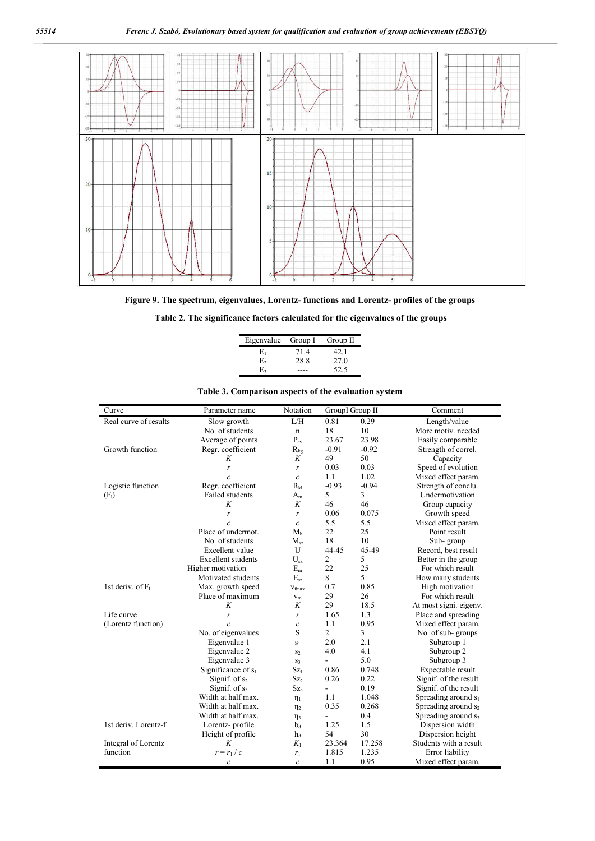

**Figure 9. The spectrum, eigenvalues, Lorentz- functions and Lorentz- profiles of the groups**

|  |  | Table 2. The significance factors calculated for the eigenvalues of the groups |  |  |
|--|--|--------------------------------------------------------------------------------|--|--|
|  |  |                                                                                |  |  |

| Eigenvalue Group I |      | Group II |
|--------------------|------|----------|
| E1                 | 71.4 | 42.1     |
| E٥                 | 28.8 | 27.0     |
| E <sub>3</sub>     |      | 52.5     |

| Curve                 | Parameter name            | Notation          | Group II Group II |         | Comment                         |  |
|-----------------------|---------------------------|-------------------|-------------------|---------|---------------------------------|--|
| Real curve of results | Slow growth               | L/H               | 0.81              | 0.29    | Length/value                    |  |
|                       | No. of students           | $\mathbf n$       | 18                | 10      | More motiv. needed              |  |
|                       | Average of points         | $P_{av}$          | 23.67             | 23.98   | Easily comparable               |  |
| Growth function       | Regr. coefficient         | $R_{kg}$          | $-0.91$           | $-0.92$ | Strength of correl.             |  |
|                       | K                         | K                 | 49                | 50      | Capacity                        |  |
|                       | r                         | r                 | 0.03              | 0.03    | Speed of evolution              |  |
|                       | $\mathcal{C}$             | $\mathcal{C}_{0}$ | 1.1               | 1.02    | Mixed effect param.             |  |
| Logistic function     | Regr. coefficient         | $R_{kl}$          | $-0.93$           | $-0.94$ | Strength of conclu.             |  |
| (F <sub>1</sub> )     | <b>Failed students</b>    | $A_m$             | 5                 | 3       | Undermotivation                 |  |
|                       | K                         | K                 | 46                | 46      | Group capacity                  |  |
|                       | r                         | r                 | 0.06              | 0.075   | Growth speed                    |  |
|                       | $\mathcal{C}$             | $\mathcal{C}_{0}$ | 5.5               | 5.5     | Mixed effect param.             |  |
|                       | Place of undermot.        | M <sub>h</sub>    | 22                | 25      | Point result                    |  |
|                       | No. of students           | $M_{sz}$          | 18                | 10      | Sub-group                       |  |
|                       | Excellent value           | U                 | 44-45             | 45-49   | Record, best result             |  |
|                       | <b>Excellent</b> students | $U_{sz}$          | $\overline{2}$    | 5       | Better in the group             |  |
|                       | Higher motivation         | $E_m$             | 22                | 25      | For which result                |  |
|                       | Motivated students        | $E_{sz}$          | 8                 | 5       | How many students               |  |
| 1st deriv. of $F_1$   | Max. growth speed         | $V_{\text{fmax}}$ | 0.7               | 0.85    | High motivation                 |  |
|                       | Place of maximum          | $V_m$             | 29                | 26      | For which result                |  |
|                       | K                         | K                 | 29                | 18.5    | At most signi, eigenv.          |  |
| Life curve            | r                         | r                 | 1.65              | 1.3     | Place and spreading             |  |
| (Lorentz function)    | $\mathcal{C}$             | $\mathcal{C}_{0}$ | 1.1               | 0.95    | Mixed effect param.             |  |
|                       | No. of eigenvalues        | S                 | $\overline{2}$    | 3       | No. of sub-groups               |  |
|                       | Eigenvalue 1              | $S_1$             | 2.0               | 2.1     | Subgroup 1                      |  |
|                       | Eigenvalue 2              | S <sub>2</sub>    | 4.0               | 4.1     | Subgroup 2                      |  |
|                       | Eigenvalue 3              | $S_3$             | $\overline{a}$    | 5.0     | Subgroup 3                      |  |
|                       | Significance of $s_1$     | Sz <sub>1</sub>   | 0.86              | 0.748   | Expectable result               |  |
|                       | Signif. of $s_2$          | Sz <sub>2</sub>   | 0.26              | 0.22    | Signif. of the result           |  |
|                       | Signif. of s3             | Sz <sub>3</sub>   | $\overline{a}$    | 0.19    | Signif. of the result           |  |
|                       | Width at half max.        | $\eta_1$          | 1.1               | 1.048   | Spreading around $s_1$          |  |
|                       | Width at half max.        | $\eta_2$          | 0.35              | 0.268   | Spreading around s <sub>2</sub> |  |
|                       | Width at half max.        | $\eta_3$          | $\overline{a}$    | 0.4     | Spreading around s <sub>3</sub> |  |
| 1st deriv. Lorentz-f. | Lorentz-profile           | $b_d$             | 1.25              | 1.5     | Dispersion width                |  |
|                       | Height of profile         | $h_d$             | 54                | 30      | Dispersion height               |  |
| Integral of Lorentz   | K                         | $K_1$             | 23.364            | 17.258  | Students with a result          |  |
| function              | $r = r_1/c$               | $r_1$             | 1.815             | 1.235   | Error liability                 |  |
|                       | $\boldsymbol{c}$          | $\mathcal{C}_{0}$ | 1.1               | 0.95    | Mixed effect param.             |  |

## **Table 3. Comparison aspects of the evaluation system**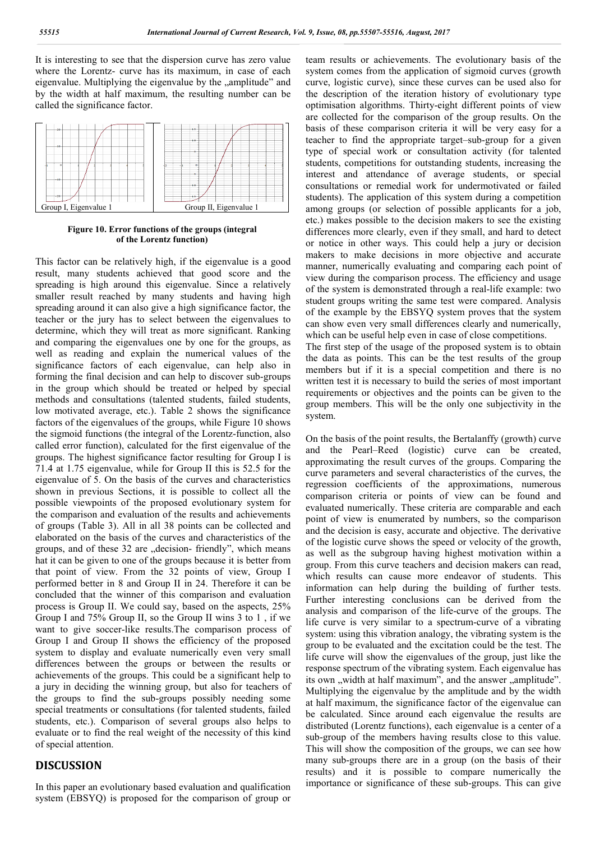It is interesting to see that the dispersion curve has zero value where the Lorentz- curve has its maximum, in case of each eigenvalue. Multiplying the eigenvalue by the "amplitude" and by the width at half maximum, the resulting number can be called the significance factor.



**Figure 10. Error functions of the groups (integral of the Lorentz function)**

This factor can be relatively high, if the eigenvalue is a good result, many students achieved that good score and the spreading is high around this eigenvalue. Since a relatively smaller result reached by many students and having high spreading around it can also give a high significance factor, the teacher or the jury has to select between the eigenvalues to determine, which they will treat as more significant. Ranking and comparing the eigenvalues one by one for the groups, as well as reading and explain the numerical values of the significance factors of each eigenvalue, can help also in forming the final decision and can help to discover sub-groups in the group which should be treated or helped by special methods and consultations (talented students, failed students, low motivated average, etc.). Table 2 shows the significance factors of the eigenvalues of the groups, while Figure 10 shows the sigmoid functions (the integral of the Lorentz-function, also called error function), calculated for the first eigenvalue of the groups. The highest significance factor resulting for Group I is 71.4 at 1.75 eigenvalue, while for Group II this is 52.5 for the eigenvalue of 5. On the basis of the curves and characteristics shown in previous Sections, it is possible to collect all the possible viewpoints of the proposed evolutionary system for the comparison and evaluation of the results and achievements of groups (Table 3). All in all 38 points can be collected and elaborated on the basis of the curves and characteristics of the groups, and of these 32 are "decision- friendly", which means hat it can be given to one of the groups because it is better from that point of view. From the 32 points of view, Group I performed better in 8 and Group II in 24. Therefore it can be concluded that the winner of this comparison and evaluation process is Group II. We could say, based on the aspects, 25% Group I and 75% Group II, so the Group II wins 3 to 1 , if we want to give soccer-like results.The comparison process of Group I and Group II shows the efficiency of the proposed system to display and evaluate numerically even very small differences between the groups or between the results or achievements of the groups. This could be a significant help to a jury in deciding the winning group, but also for teachers of the groups to find the sub-groups possibly needing some special treatments or consultations (for talented students, failed students, etc.). Comparison of several groups also helps to evaluate or to find the real weight of the necessity of this kind of special attention.

## **DISCUSSION**

In this paper an evolutionary based evaluation and qualification system (EBSYQ) is proposed for the comparison of group or team results or achievements. The evolutionary basis of the system comes from the application of sigmoid curves (growth curve, logistic curve), since these curves can be used also for the description of the iteration history of evolutionary type optimisation algorithms. Thirty-eight different points of view are collected for the comparison of the group results. On the basis of these comparison criteria it will be very easy for a teacher to find the appropriate target–sub-group for a given type of special work or consultation activity (for talented students, competitions for outstanding students, increasing the interest and attendance of average students, or special consultations or remedial work for undermotivated or failed students). The application of this system during a competition among groups (or selection of possible applicants for a job, etc.) makes possible to the decision makers to see the existing differences more clearly, even if they small, and hard to detect or notice in other ways. This could help a jury or decision makers to make decisions in more objective and accurate manner, numerically evaluating and comparing each point of view during the comparison process. The efficiency and usage of the system is demonstrated through a real-life example: two student groups writing the same test were compared. Analysis of the example by the EBSYQ system proves that the system can show even very small differences clearly and numerically, which can be useful help even in case of close competitions. The first step of the usage of the proposed system is to obtain the data as points. This can be the test results of the group members but if it is a special competition and there is no written test it is necessary to build the series of most important requirements or objectives and the points can be given to the group members. This will be the only one subjectivity in the system.

On the basis of the point results, the Bertalanffy (growth) curve and the Pearl–Reed (logistic) curve can be created, approximating the result curves of the groups. Comparing the curve parameters and several characteristics of the curves, the regression coefficients of the approximations, numerous comparison criteria or points of view can be found and evaluated numerically. These criteria are comparable and each point of view is enumerated by numbers, so the comparison and the decision is easy, accurate and objective. The derivative of the logistic curve shows the speed or velocity of the growth, as well as the subgroup having highest motivation within a group. From this curve teachers and decision makers can read, which results can cause more endeavor of students. This information can help during the building of further tests. Further interesting conclusions can be derived from the analysis and comparison of the life-curve of the groups. The life curve is very similar to a spectrum-curve of a vibrating system: using this vibration analogy, the vibrating system is the group to be evaluated and the excitation could be the test. The life curve will show the eigenvalues of the group, just like the response spectrum of the vibrating system. Each eigenvalue has its own "width at half maximum", and the answer "amplitude". Multiplying the eigenvalue by the amplitude and by the width at half maximum, the significance factor of the eigenvalue can be calculated. Since around each eigenvalue the results are distributed (Lorentz functions), each eigenvalue is a center of a sub-group of the members having results close to this value. This will show the composition of the groups, we can see how many sub-groups there are in a group (on the basis of their results) and it is possible to compare numerically the importance or significance of these sub-groups. This can give